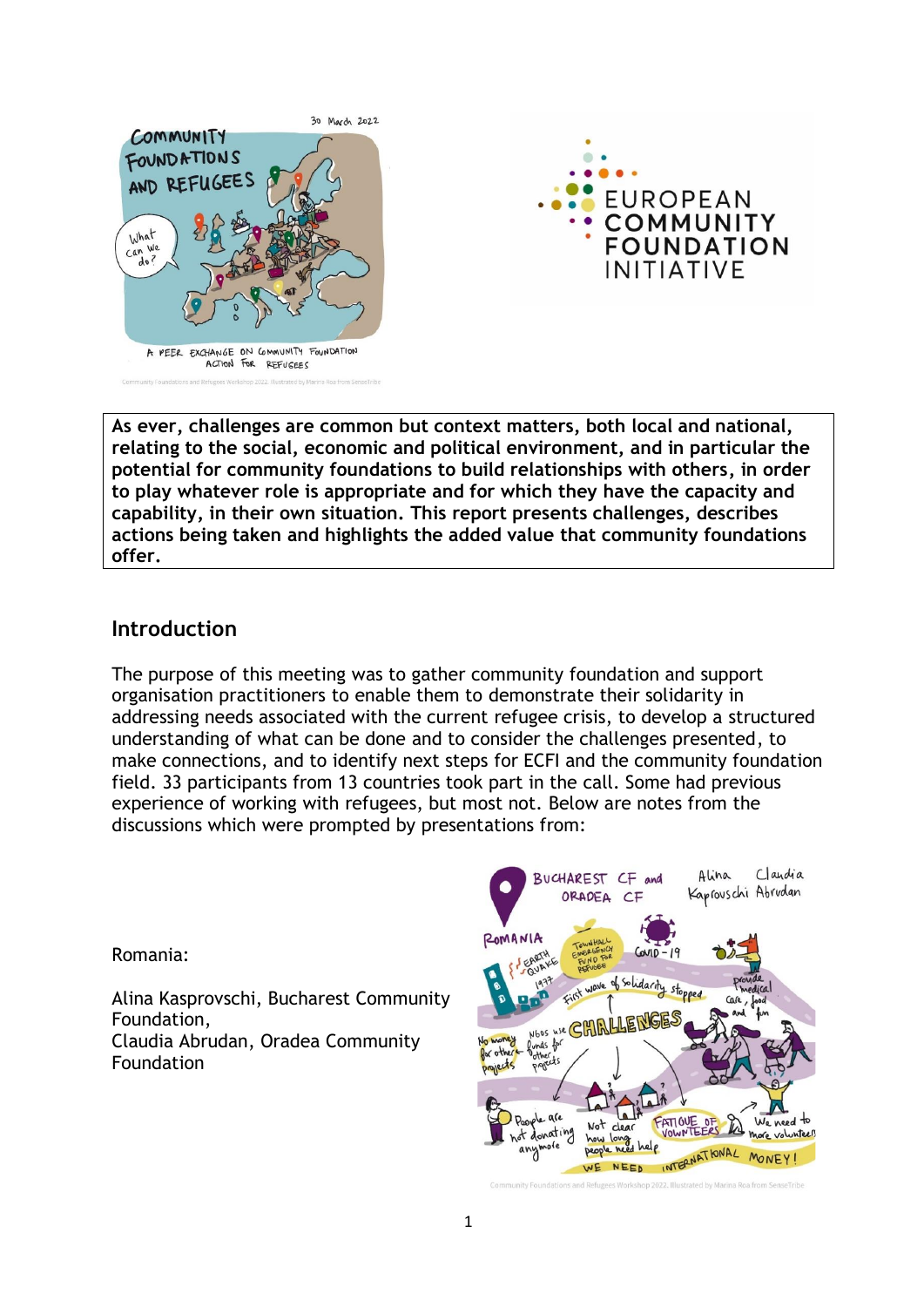



**As ever, challenges are common but context matters, both local and national, relating to the social, economic and political environment, and in particular the potential for community foundations to build relationships with others, in order to play whatever role is appropriate and for which they have the capacity and capability, in their own situation. This report presents challenges, describes actions being taken and highlights the added value that community foundations offer.**

### **Introduction**

The purpose of this meeting was to gather community foundation and support organisation practitioners to enable them to demonstrate their solidarity in addressing needs associated with the current refugee crisis, to develop a structured understanding of what can be done and to consider the challenges presented, to make connections, and to identify next steps for ECFI and the community foundation field. 33 participants from 13 countries took part in the call. Some had previous experience of working with refugees, but most not. Below are notes from the discussions which were prompted by presentations from:

Romania:

Alina Kasprovschi, Bucharest Community Foundation, Claudia Abrudan, Oradea Community Foundation

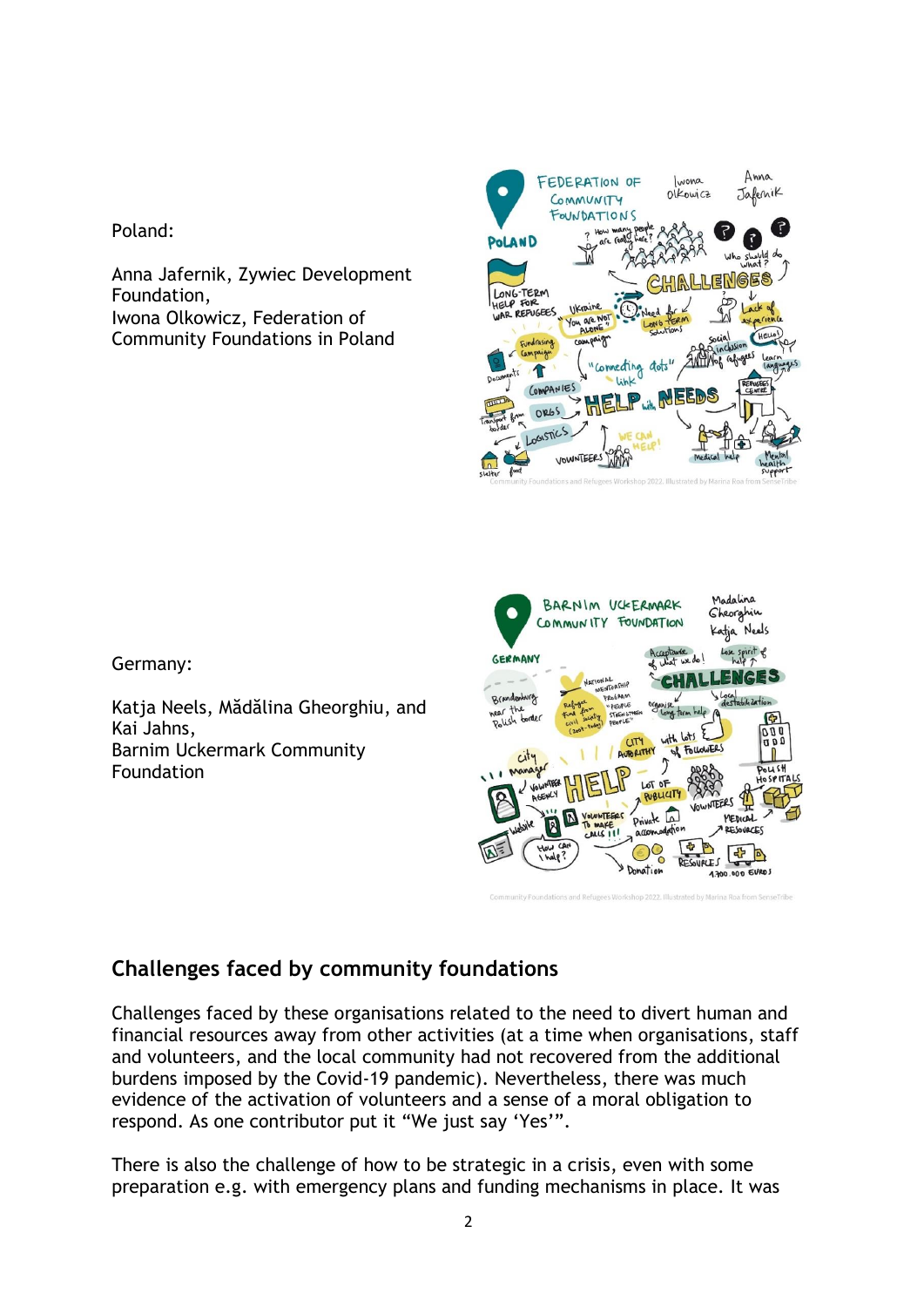Poland:

Anna Jafernik, Zywiec Development Foundation, Iwona Olkowicz, Federation of Community Foundations in Poland



Germany:

Katja Neels, Mădălina Gheorghiu, and Kai Jahns, Barnim Uckermark Community Foundation



# **Challenges faced by community foundations**

Challenges faced by these organisations related to the need to divert human and financial resources away from other activities (at a time when organisations, staff and volunteers, and the local community had not recovered from the additional burdens imposed by the Covid-19 pandemic). Nevertheless, there was much evidence of the activation of volunteers and a sense of a moral obligation to respond. As one contributor put it "We just say 'Yes'".

There is also the challenge of how to be strategic in a crisis, even with some preparation e.g. with emergency plans and funding mechanisms in place. It was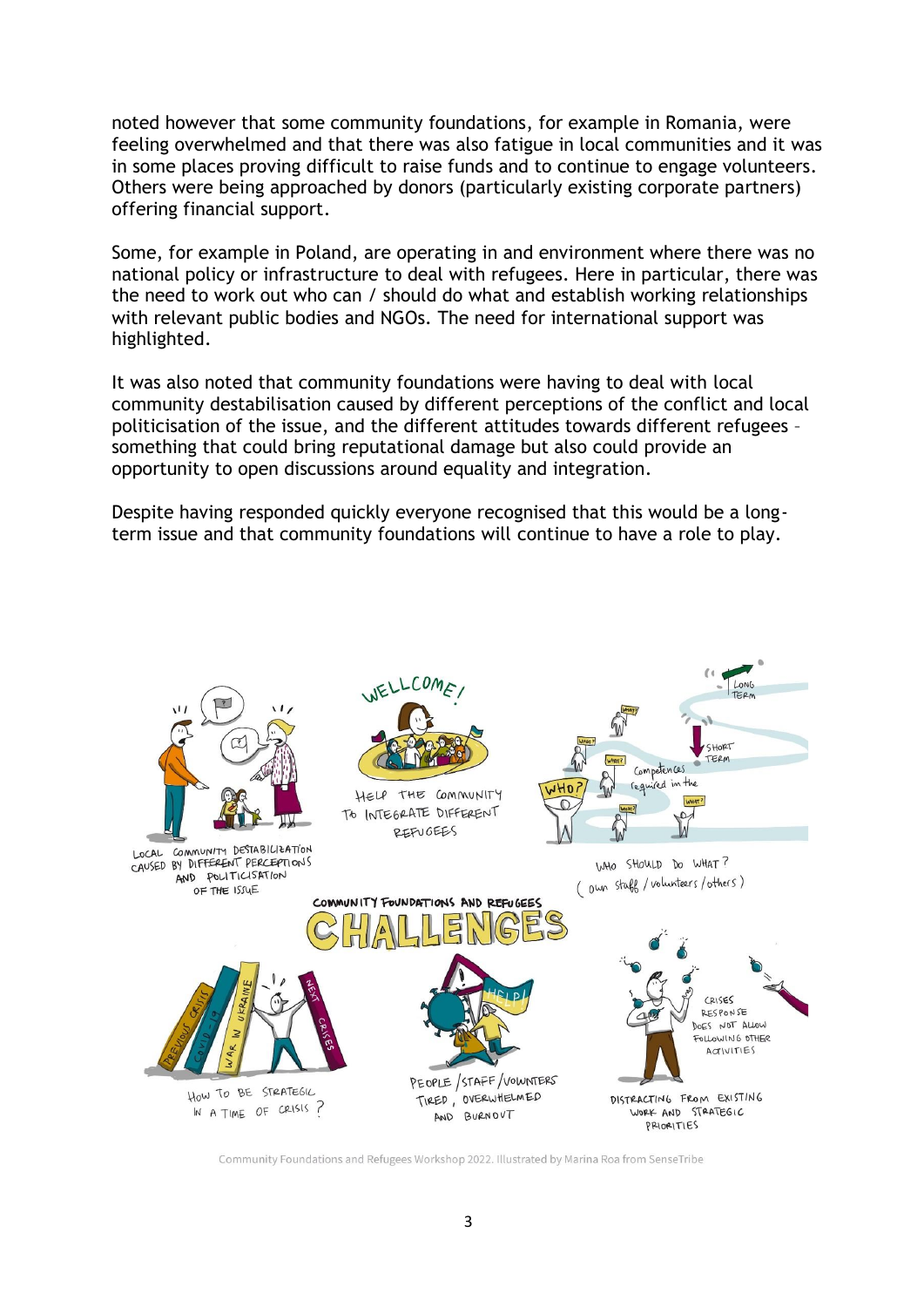noted however that some community foundations, for example in Romania, were feeling overwhelmed and that there was also fatigue in local communities and it was in some places proving difficult to raise funds and to continue to engage volunteers. Others were being approached by donors (particularly existing corporate partners) offering financial support.

Some, for example in Poland, are operating in and environment where there was no national policy or infrastructure to deal with refugees. Here in particular, there was the need to work out who can / should do what and establish working relationships with relevant public bodies and NGOs. The need for international support was highlighted.

It was also noted that community foundations were having to deal with local community destabilisation caused by different perceptions of the conflict and local politicisation of the issue, and the different attitudes towards different refugees – something that could bring reputational damage but also could provide an opportunity to open discussions around equality and integration.

Despite having responded quickly everyone recognised that this would be a longterm issue and that community foundations will continue to have a role to play.



Community Foundations and Refugees Workshop 2022. Illustrated by Marina Roa from SenseTribe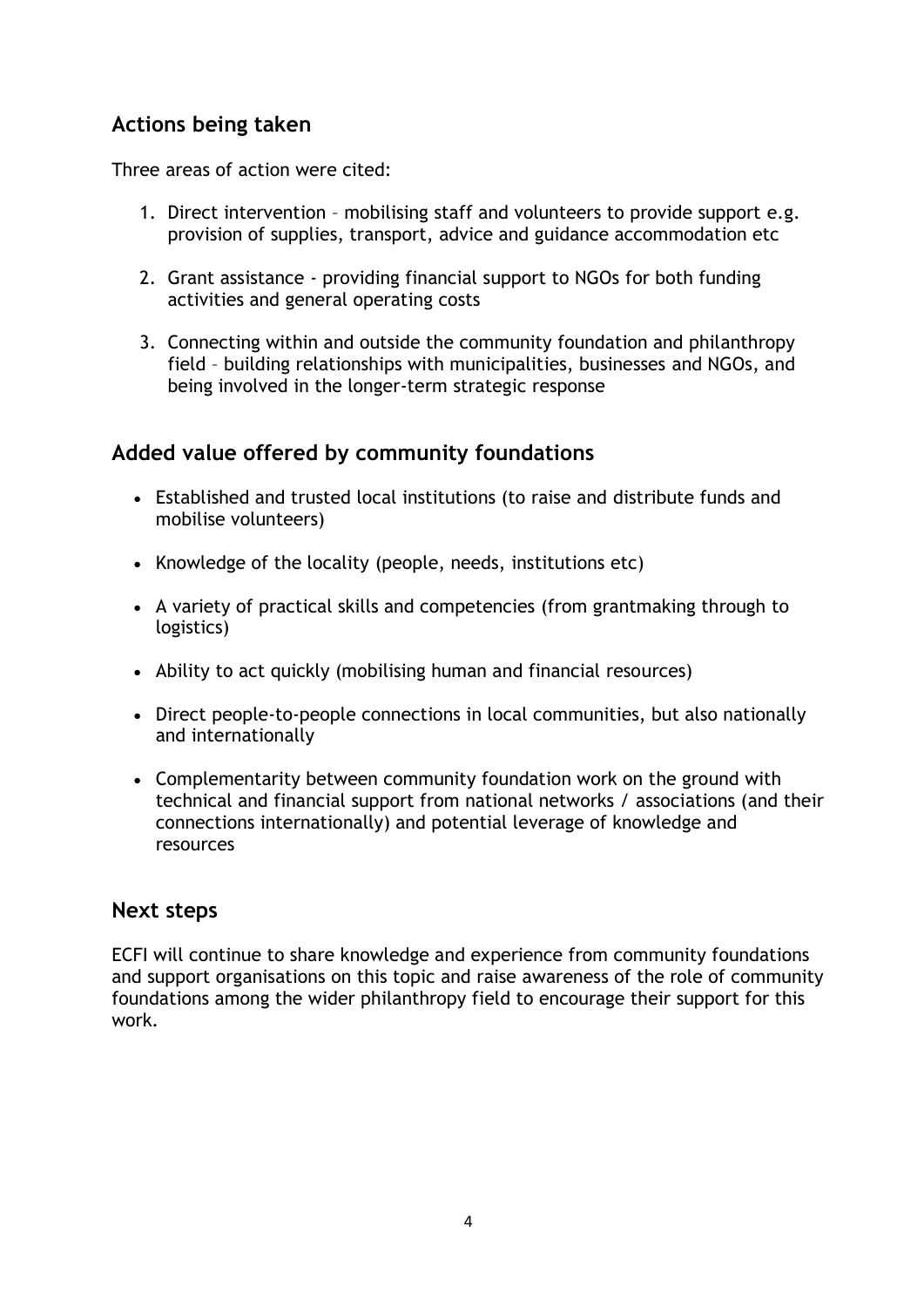# **Actions being taken**

Three areas of action were cited:

- 1. Direct intervention mobilising staff and volunteers to provide support e.g. provision of supplies, transport, advice and guidance accommodation etc
- 2. Grant assistance providing financial support to NGOs for both funding activities and general operating costs
- 3. Connecting within and outside the community foundation and philanthropy field – building relationships with municipalities, businesses and NGOs, and being involved in the longer-term strategic response

# **Added value offered by community foundations**

- Established and trusted local institutions (to raise and distribute funds and mobilise volunteers)
- Knowledge of the locality (people, needs, institutions etc)
- A variety of practical skills and competencies (from grantmaking through to logistics)
- Ability to act quickly (mobilising human and financial resources)
- Direct people-to-people connections in local communities, but also nationally and internationally
- Complementarity between community foundation work on the ground with technical and financial support from national networks / associations (and their connections internationally) and potential leverage of knowledge and resources

### **Next steps**

ECFI will continue to share knowledge and experience from community foundations and support organisations on this topic and raise awareness of the role of community foundations among the wider philanthropy field to encourage their support for this work.